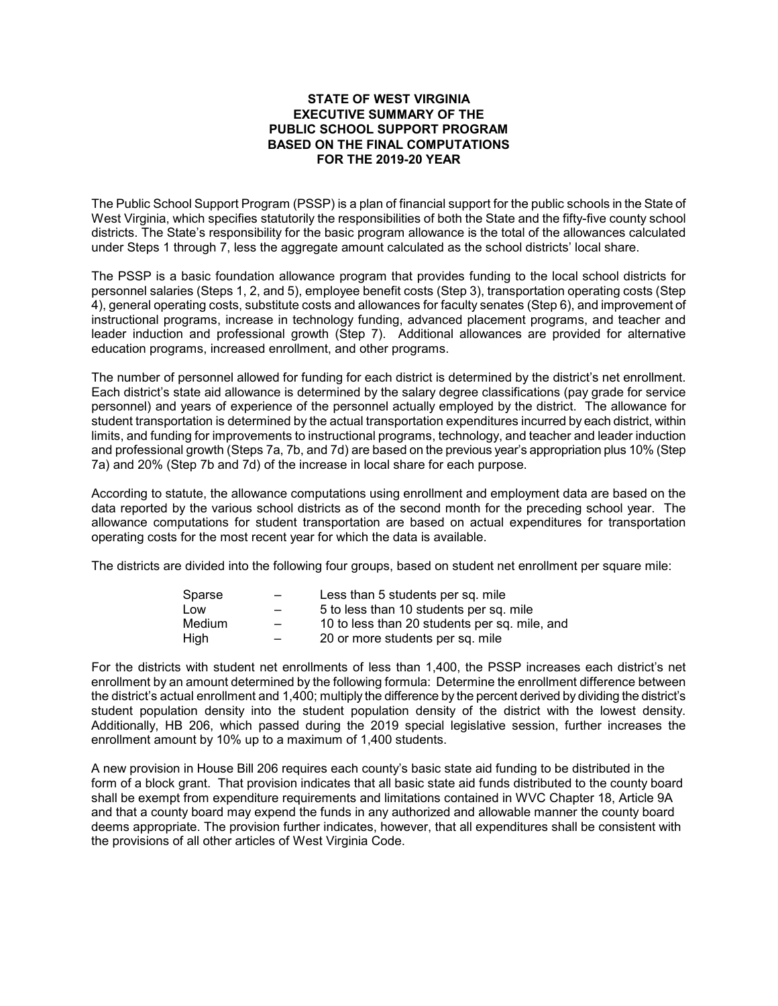## **STATE OF WEST VIRGINIA EXECUTIVE SUMMARY OF THE PUBLIC SCHOOL SUPPORT PROGRAM BASED ON THE FINAL COMPUTATIONS FOR THE 2019-20 YEAR**

The Public School Support Program (PSSP) is a plan of financial support for the public schools in the State of West Virginia, which specifies statutorily the responsibilities of both the State and the fifty-five county school districts. The State's responsibility for the basic program allowance is the total of the allowances calculated under Steps 1 through 7, less the aggregate amount calculated as the school districts' local share.

The PSSP is a basic foundation allowance program that provides funding to the local school districts for personnel salaries (Steps 1, 2, and 5), employee benefit costs (Step 3), transportation operating costs (Step 4), general operating costs, substitute costs and allowances for faculty senates (Step 6), and improvement of instructional programs, increase in technology funding, advanced placement programs, and teacher and leader induction and professional growth (Step 7). Additional allowances are provided for alternative education programs, increased enrollment, and other programs.

The number of personnel allowed for funding for each district is determined by the district's net enrollment. Each district's state aid allowance is determined by the salary degree classifications (pay grade for service personnel) and years of experience of the personnel actually employed by the district. The allowance for student transportation is determined by the actual transportation expenditures incurred by each district, within limits, and funding for improvements to instructional programs, technology, and teacher and leader induction and professional growth (Steps 7a, 7b, and 7d) are based on the previous year's appropriation plus 10% (Step 7a) and 20% (Step 7b and 7d) of the increase in local share for each purpose.

According to statute, the allowance computations using enrollment and employment data are based on the data reported by the various school districts as of the second month for the preceding school year. The allowance computations for student transportation are based on actual expenditures for transportation operating costs for the most recent year for which the data is available.

The districts are divided into the following four groups, based on student net enrollment per square mile:

| Sparse | $\overline{\phantom{0}}$ | Less than 5 students per sq. mile             |  |
|--------|--------------------------|-----------------------------------------------|--|
| Low    | $\overline{\phantom{0}}$ | 5 to less than 10 students per sq. mile       |  |
| Medium | $\overline{\phantom{0}}$ | 10 to less than 20 students per sq. mile, and |  |
| High   | $\overline{\phantom{0}}$ | 20 or more students per sq. mile              |  |

For the districts with student net enrollments of less than 1,400, the PSSP increases each district's net enrollment by an amount determined by the following formula: Determine the enrollment difference between the district's actual enrollment and 1,400; multiply the difference by the percent derived by dividing the district's student population density into the student population density of the district with the lowest density. Additionally, HB 206, which passed during the 2019 special legislative session, further increases the enrollment amount by 10% up to a maximum of 1,400 students.

A new provision in House Bill 206 requires each county's basic state aid funding to be distributed in the form of a block grant. That provision indicates that all basic state aid funds distributed to the county board shall be exempt from expenditure requirements and limitations contained in WVC Chapter 18, Article 9A and that a county board may expend the funds in any authorized and allowable manner the county board deems appropriate. The provision further indicates, however, that all expenditures shall be consistent with the provisions of all other articles of West Virginia Code.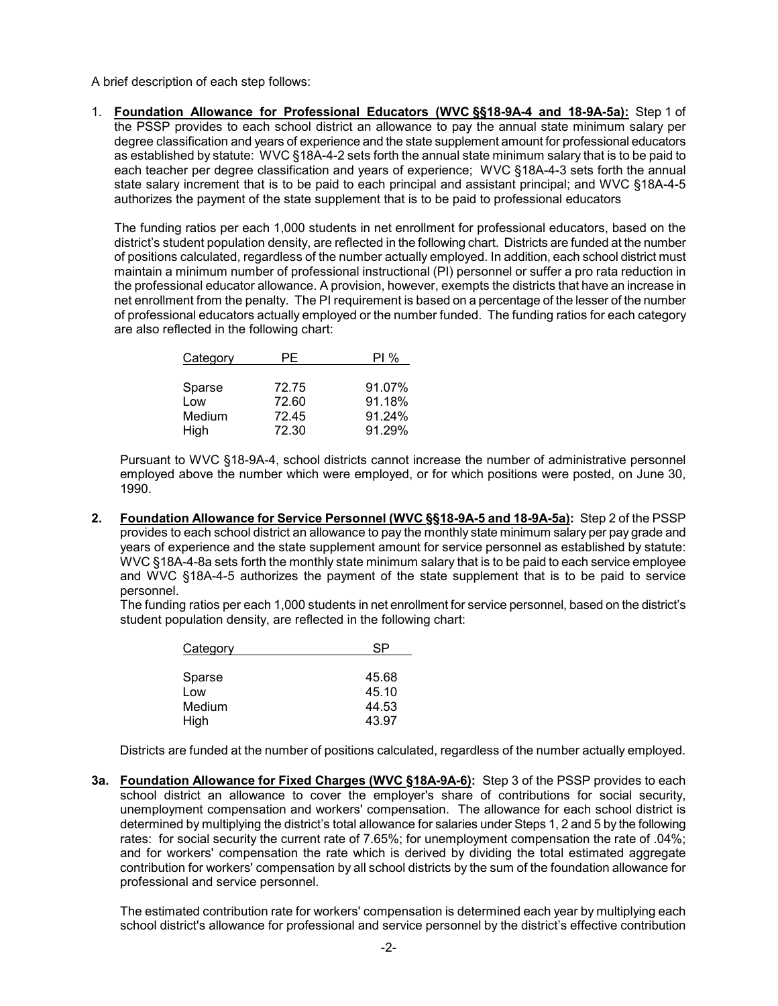A brief description of each step follows:

1. **Foundation Allowance for Professional Educators (WVC §§18-9A-4 and 18-9A-5a):** Step 1 of the PSSP provides to each school district an allowance to pay the annual state minimum salary per degree classification and years of experience and the state supplement amount for professional educators as established by statute: WVC §18A-4-2 sets forth the annual state minimum salary that is to be paid to each teacher per degree classification and years of experience; WVC §18A-4-3 sets forth the annual state salary increment that is to be paid to each principal and assistant principal; and WVC §18A-4-5 authorizes the payment of the state supplement that is to be paid to professional educators

The funding ratios per each 1,000 students in net enrollment for professional educators, based on the district's student population density, are reflected in the following chart. Districts are funded at the number of positions calculated, regardless of the number actually employed. In addition, each school district must maintain a minimum number of professional instructional (PI) personnel or suffer a pro rata reduction in the professional educator allowance. A provision, however, exempts the districts that have an increase in net enrollment from the penalty. The PI requirement is based on a percentage of the lesser of the number of professional educators actually employed or the number funded. The funding ratios for each category are also reflected in the following chart:

Pursuant to WVC §18-9A-4, school districts cannot increase the number of administrative personnel employed above the number which were employed, or for which positions were posted, on June 30, 1990.

**2. Foundation Allowance for Service Personnel (WVC §§18-9A-5 and 18-9A-5a):** Step 2 of the PSSP provides to each school district an allowance to pay the monthly state minimum salary per pay grade and years of experience and the state supplement amount for service personnel as established by statute: WVC §18A-4-8a sets forth the monthly state minimum salary that is to be paid to each service employee and WVC §18A-4-5 authorizes the payment of the state supplement that is to be paid to service personnel.

The funding ratios per each 1,000 students in net enrollment for service personnel, based on the district's student population density, are reflected in the following chart:

| Category | SP    |  |  |
|----------|-------|--|--|
|          |       |  |  |
| Sparse   | 45.68 |  |  |
| Low      | 45.10 |  |  |
| Medium   | 44.53 |  |  |
| High     | 43.97 |  |  |

Districts are funded at the number of positions calculated, regardless of the number actually employed.

**3a. Foundation Allowance for Fixed Charges (WVC §18A-9A-6):** Step 3 of the PSSP provides to each school district an allowance to cover the employer's share of contributions for social security, unemployment compensation and workers' compensation. The allowance for each school district is determined by multiplying the district's total allowance for salaries under Steps 1, 2 and 5 by the following rates: for social security the current rate of 7.65%; for unemployment compensation the rate of .04%; and for workers' compensation the rate which is derived by dividing the total estimated aggregate contribution for workers' compensation by all school districts by the sum of the foundation allowance for professional and service personnel.

The estimated contribution rate for workers' compensation is determined each year by multiplying each school district's allowance for professional and service personnel by the district's effective contribution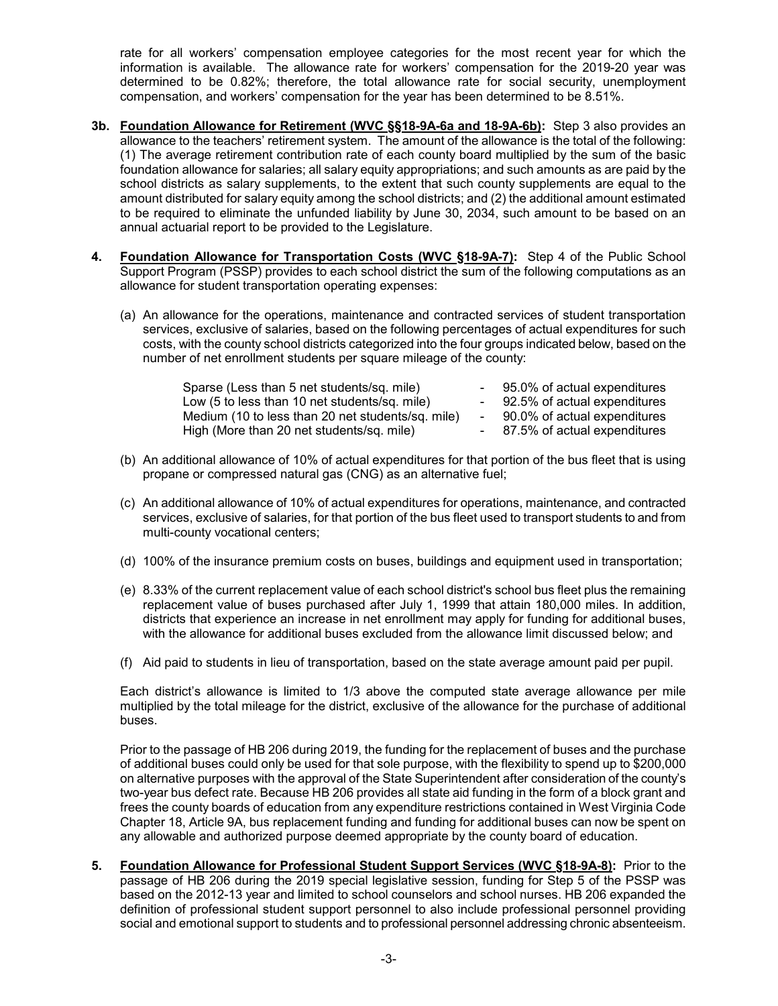rate for all workers' compensation employee categories for the most recent year for which the information is available. The allowance rate for workers' compensation for the 2019-20 year was determined to be 0.82%; therefore, the total allowance rate for social security, unemployment compensation, and workers' compensation for the year has been determined to be 8.51%.

- **3b. Foundation Allowance for Retirement (WVC §§18-9A-6a and 18-9A-6b):** Step 3 also provides an allowance to the teachers' retirement system. The amount of the allowance is the total of the following: (1) The average retirement contribution rate of each county board multiplied by the sum of the basic foundation allowance for salaries; all salary equity appropriations; and such amounts as are paid by the school districts as salary supplements, to the extent that such county supplements are equal to the amount distributed for salary equity among the school districts; and (2) the additional amount estimated to be required to eliminate the unfunded liability by June 30, 2034, such amount to be based on an annual actuarial report to be provided to the Legislature.
- **4. Foundation Allowance for Transportation Costs (WVC §18-9A-7):** Step 4 of the Public School Support Program (PSSP) provides to each school district the sum of the following computations as an allowance for student transportation operating expenses:
	- (a) An allowance for the operations, maintenance and contracted services of student transportation services, exclusive of salaries, based on the following percentages of actual expenditures for such costs, with the county school districts categorized into the four groups indicated below, based on the number of net enrollment students per square mileage of the county:

| Sparse (Less than 5 net students/sq. mile)        | 95.0% of actual expenditures |
|---------------------------------------------------|------------------------------|
| Low (5 to less than 10 net students/sq. mile)     | 92.5% of actual expenditures |
| Medium (10 to less than 20 net students/sq. mile) | 90.0% of actual expenditures |
| High (More than 20 net students/sq. mile)         | 87.5% of actual expenditures |

- (b) An additional allowance of 10% of actual expenditures for that portion of the bus fleet that is using propane or compressed natural gas (CNG) as an alternative fuel;
- (c) An additional allowance of 10% of actual expenditures for operations, maintenance, and contracted services, exclusive of salaries, for that portion of the bus fleet used to transport students to and from multi-county vocational centers;
- (d) 100% of the insurance premium costs on buses, buildings and equipment used in transportation;
- (e) 8.33% of the current replacement value of each school district's school bus fleet plus the remaining replacement value of buses purchased after July 1, 1999 that attain 180,000 miles. In addition, districts that experience an increase in net enrollment may apply for funding for additional buses, with the allowance for additional buses excluded from the allowance limit discussed below; and
- (f) Aid paid to students in lieu of transportation, based on the state average amount paid per pupil.

Each district's allowance is limited to 1/3 above the computed state average allowance per mile multiplied by the total mileage for the district, exclusive of the allowance for the purchase of additional buses.

Prior to the passage of HB 206 during 2019, the funding for the replacement of buses and the purchase of additional buses could only be used for that sole purpose, with the flexibility to spend up to \$200,000 on alternative purposes with the approval of the State Superintendent after consideration of the county's two-year bus defect rate. Because HB 206 provides all state aid funding in the form of a block grant and frees the county boards of education from any expenditure restrictions contained in West Virginia Code Chapter 18, Article 9A, bus replacement funding and funding for additional buses can now be spent on any allowable and authorized purpose deemed appropriate by the county board of education.

**5. Foundation Allowance for Professional Student Support Services (WVC §18-9A-8):** Prior to the passage of HB 206 during the 2019 special legislative session, funding for Step 5 of the PSSP was based on the 2012-13 year and limited to school counselors and school nurses. HB 206 expanded the definition of professional student support personnel to also include professional personnel providing social and emotional support to students and to professional personnel addressing chronic absenteeism.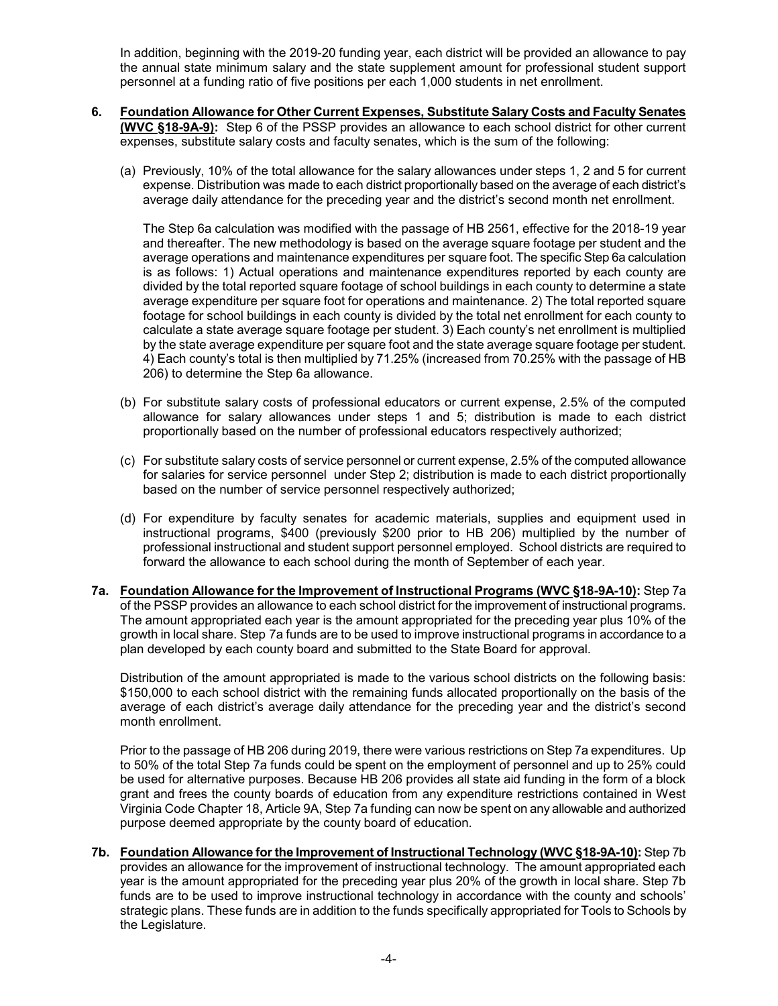In addition, beginning with the 2019-20 funding year, each district will be provided an allowance to pay the annual state minimum salary and the state supplement amount for professional student support personnel at a funding ratio of five positions per each 1,000 students in net enrollment.

- **6. Foundation Allowance for Other Current Expenses, Substitute Salary Costs and Faculty Senates (WVC §18-9A-9):** Step 6 of the PSSP provides an allowance to each school district for other current expenses, substitute salary costs and faculty senates, which is the sum of the following:
	- (a) Previously, 10% of the total allowance for the salary allowances under steps 1, 2 and 5 for current expense. Distribution was made to each district proportionally based on the average of each district's average daily attendance for the preceding year and the district's second month net enrollment.

The Step 6a calculation was modified with the passage of HB 2561, effective for the 2018-19 year and thereafter. The new methodology is based on the average square footage per student and the average operations and maintenance expenditures per square foot. The specific Step 6a calculation is as follows: 1) Actual operations and maintenance expenditures reported by each county are divided by the total reported square footage of school buildings in each county to determine a state average expenditure per square foot for operations and maintenance. 2) The total reported square footage for school buildings in each county is divided by the total net enrollment for each county to calculate a state average square footage per student. 3) Each county's net enrollment is multiplied by the state average expenditure per square foot and the state average square footage per student. 4) Each county's total is then multiplied by 71.25% (increased from 70.25% with the passage of HB 206) to determine the Step 6a allowance.

- (b) For substitute salary costs of professional educators or current expense, 2.5% of the computed allowance for salary allowances under steps 1 and 5; distribution is made to each district proportionally based on the number of professional educators respectively authorized;
- (c) For substitute salary costs of service personnel or current expense, 2.5% of the computed allowance for salaries for service personnel under Step 2; distribution is made to each district proportionally based on the number of service personnel respectively authorized;
- (d) For expenditure by faculty senates for academic materials, supplies and equipment used in instructional programs, \$400 (previously \$200 prior to HB 206) multiplied by the number of professional instructional and student support personnel employed. School districts are required to forward the allowance to each school during the month of September of each year.
- **7a. Foundation Allowance for the Improvement of Instructional Programs (WVC §18-9A-10):** Step 7a of the PSSP provides an allowance to each school district for the improvement of instructional programs. The amount appropriated each year is the amount appropriated for the preceding year plus 10% of the growth in local share. Step 7a funds are to be used to improve instructional programs in accordance to a plan developed by each county board and submitted to the State Board for approval.

Distribution of the amount appropriated is made to the various school districts on the following basis: \$150,000 to each school district with the remaining funds allocated proportionally on the basis of the average of each district's average daily attendance for the preceding year and the district's second month enrollment.

Prior to the passage of HB 206 during 2019, there were various restrictions on Step 7a expenditures. Up to 50% of the total Step 7a funds could be spent on the employment of personnel and up to 25% could be used for alternative purposes. Because HB 206 provides all state aid funding in the form of a block grant and frees the county boards of education from any expenditure restrictions contained in West Virginia Code Chapter 18, Article 9A, Step 7a funding can now be spent on any allowable and authorized purpose deemed appropriate by the county board of education.

**7b. Foundation Allowance for the Improvement of Instructional Technology (WVC §18-9A-10):** Step 7b provides an allowance for the improvement of instructional technology. The amount appropriated each year is the amount appropriated for the preceding year plus 20% of the growth in local share. Step 7b funds are to be used to improve instructional technology in accordance with the county and schools' strategic plans. These funds are in addition to the funds specifically appropriated for Tools to Schools by the Legislature.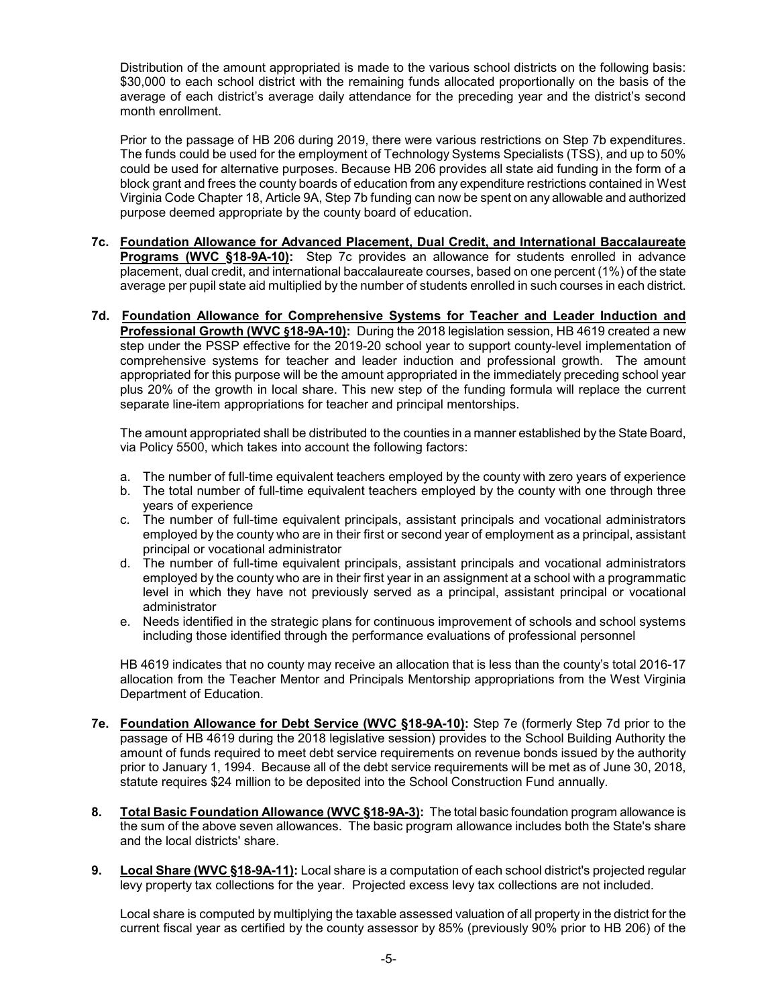Distribution of the amount appropriated is made to the various school districts on the following basis: \$30,000 to each school district with the remaining funds allocated proportionally on the basis of the average of each district's average daily attendance for the preceding year and the district's second month enrollment.

Prior to the passage of HB 206 during 2019, there were various restrictions on Step 7b expenditures. The funds could be used for the employment of Technology Systems Specialists (TSS), and up to 50% could be used for alternative purposes. Because HB 206 provides all state aid funding in the form of a block grant and frees the county boards of education from any expenditure restrictions contained in West Virginia Code Chapter 18, Article 9A, Step 7b funding can now be spent on any allowable and authorized purpose deemed appropriate by the county board of education.

- **7c. Foundation Allowance for Advanced Placement, Dual Credit, and International Baccalaureate Programs (WVC §18-9A-10):** Step 7c provides an allowance for students enrolled in advance placement, dual credit, and international baccalaureate courses, based on one percent (1%) of the state average per pupil state aid multiplied by the number of students enrolled in such courses in each district.
- **7d. Foundation Allowance for Comprehensive Systems for Teacher and Leader Induction and Professional Growth (WVC §18-9A-10):** During the 2018 legislation session, HB 4619 created a new step under the PSSP effective for the 2019-20 school year to support county-level implementation of comprehensive systems for teacher and leader induction and professional growth. The amount appropriated for this purpose will be the amount appropriated in the immediately preceding school year plus 20% of the growth in local share. This new step of the funding formula will replace the current separate line-item appropriations for teacher and principal mentorships.

The amount appropriated shall be distributed to the counties in a manner established by the State Board, via Policy 5500, which takes into account the following factors:

- a. The number of full-time equivalent teachers employed by the county with zero years of experience
- b. The total number of full-time equivalent teachers employed by the county with one through three years of experience
- c. The number of full-time equivalent principals, assistant principals and vocational administrators employed by the county who are in their first or second year of employment as a principal, assistant principal or vocational administrator
- d. The number of full-time equivalent principals, assistant principals and vocational administrators employed by the county who are in their first year in an assignment at a school with a programmatic level in which they have not previously served as a principal, assistant principal or vocational administrator
- e. Needs identified in the strategic plans for continuous improvement of schools and school systems including those identified through the performance evaluations of professional personnel

HB 4619 indicates that no county may receive an allocation that is less than the county's total 2016-17 allocation from the Teacher Mentor and Principals Mentorship appropriations from the West Virginia Department of Education.

- **7e. Foundation Allowance for Debt Service (WVC §18-9A-10):** Step 7e (formerly Step 7d prior to the passage of HB 4619 during the 2018 legislative session) provides to the School Building Authority the amount of funds required to meet debt service requirements on revenue bonds issued by the authority prior to January 1, 1994. Because all of the debt service requirements will be met as of June 30, 2018, statute requires \$24 million to be deposited into the School Construction Fund annually.
- **8. Total Basic Foundation Allowance (WVC §18-9A-3):** The total basic foundation program allowance is the sum of the above seven allowances. The basic program allowance includes both the State's share and the local districts' share.
- **9. Local Share (WVC §18-9A-11):** Local share is a computation of each school district's projected regular levy property tax collections for the year. Projected excess levy tax collections are not included.

Local share is computed by multiplying the taxable assessed valuation of all property in the district for the current fiscal year as certified by the county assessor by 85% (previously 90% prior to HB 206) of the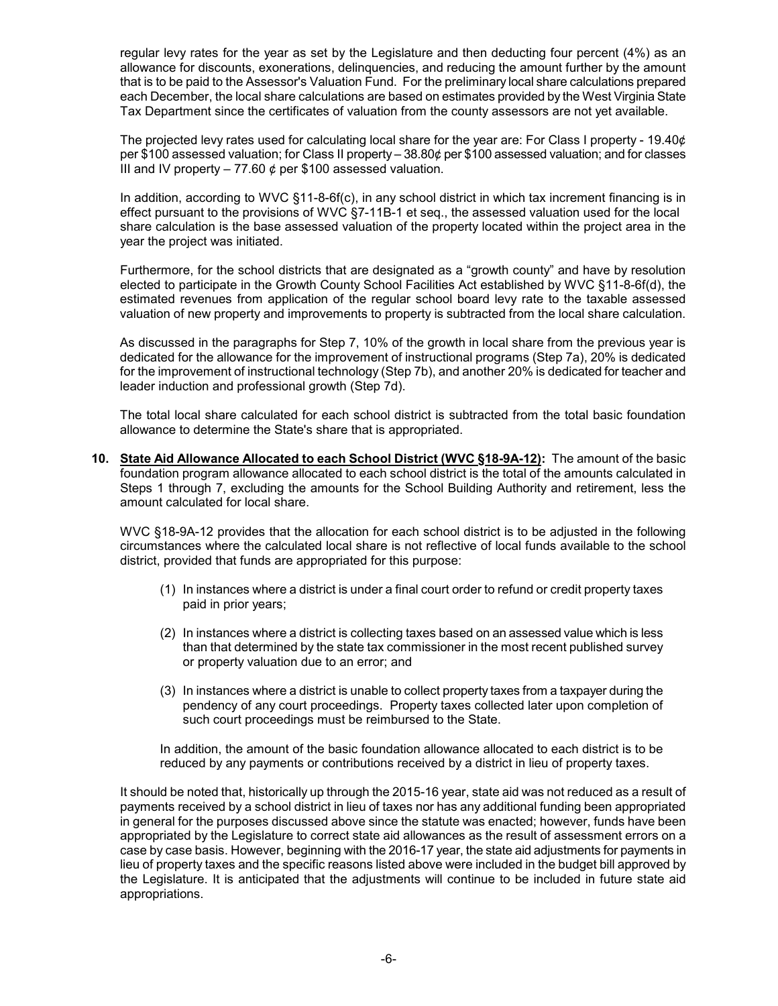regular levy rates for the year as set by the Legislature and then deducting four percent (4%) as an allowance for discounts, exonerations, delinquencies, and reducing the amount further by the amount that is to be paid to the Assessor's Valuation Fund. For the preliminary local share calculations prepared each December, the local share calculations are based on estimates provided by the West Virginia State Tax Department since the certificates of valuation from the county assessors are not yet available.

The projected levy rates used for calculating local share for the year are: For Class I property - 19.40¢ per \$100 assessed valuation; for Class II property – 38.80¢ per \$100 assessed valuation; and for classes III and IV property – 77.60  $\phi$  per \$100 assessed valuation.

In addition, according to WVC §11-8-6f(c), in any school district in which tax increment financing is in effect pursuant to the provisions of WVC §7-11B-1 et seq., the assessed valuation used for the local share calculation is the base assessed valuation of the property located within the project area in the year the project was initiated.

Furthermore, for the school districts that are designated as a "growth county" and have by resolution elected to participate in the Growth County School Facilities Act established by WVC §11-8-6f(d), the estimated revenues from application of the regular school board levy rate to the taxable assessed valuation of new property and improvements to property is subtracted from the local share calculation.

As discussed in the paragraphs for Step 7, 10% of the growth in local share from the previous year is dedicated for the allowance for the improvement of instructional programs (Step 7a), 20% is dedicated for the improvement of instructional technology (Step 7b), and another 20% is dedicated for teacher and leader induction and professional growth (Step 7d).

The total local share calculated for each school district is subtracted from the total basic foundation allowance to determine the State's share that is appropriated.

**10. State Aid Allowance Allocated to each School District (WVC §18-9A-12):** The amount of the basic foundation program allowance allocated to each school district is the total of the amounts calculated in Steps 1 through 7, excluding the amounts for the School Building Authority and retirement, less the amount calculated for local share.

WVC §18-9A-12 provides that the allocation for each school district is to be adjusted in the following circumstances where the calculated local share is not reflective of local funds available to the school district, provided that funds are appropriated for this purpose:

- (1) In instances where a district is under a final court order to refund or credit property taxes paid in prior years;
- (2) In instances where a district is collecting taxes based on an assessed value which is less than that determined by the state tax commissioner in the most recent published survey or property valuation due to an error; and
- (3) In instances where a district is unable to collect property taxes from a taxpayer during the pendency of any court proceedings. Property taxes collected later upon completion of such court proceedings must be reimbursed to the State.

In addition, the amount of the basic foundation allowance allocated to each district is to be reduced by any payments or contributions received by a district in lieu of property taxes.

It should be noted that, historically up through the 2015-16 year, state aid was not reduced as a result of payments received by a school district in lieu of taxes nor has any additional funding been appropriated in general for the purposes discussed above since the statute was enacted; however, funds have been appropriated by the Legislature to correct state aid allowances as the result of assessment errors on a case by case basis. However, beginning with the 2016-17 year, the state aid adjustments for payments in lieu of property taxes and the specific reasons listed above were included in the budget bill approved by the Legislature. It is anticipated that the adjustments will continue to be included in future state aid appropriations.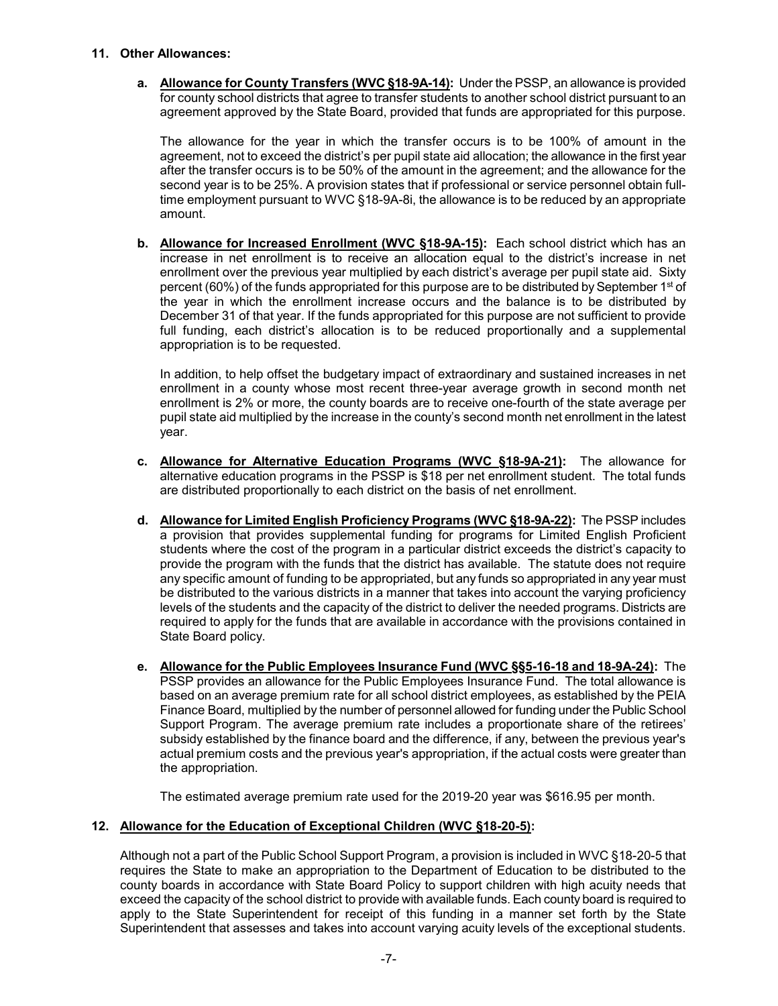## **11. Other Allowances:**

**a. Allowance for County Transfers (WVC §18-9A-14):** Under the PSSP, an allowance is provided for county school districts that agree to transfer students to another school district pursuant to an agreement approved by the State Board, provided that funds are appropriated for this purpose.

The allowance for the year in which the transfer occurs is to be 100% of amount in the agreement, not to exceed the district's per pupil state aid allocation; the allowance in the first year after the transfer occurs is to be 50% of the amount in the agreement; and the allowance for the second year is to be 25%. A provision states that if professional or service personnel obtain fulltime employment pursuant to WVC §18-9A-8i, the allowance is to be reduced by an appropriate amount.

**b. Allowance for Increased Enrollment (WVC §18-9A-15):** Each school district which has an increase in net enrollment is to receive an allocation equal to the district's increase in net enrollment over the previous year multiplied by each district's average per pupil state aid. Sixty percent (60%) of the funds appropriated for this purpose are to be distributed by September 1<sup>st</sup> of the year in which the enrollment increase occurs and the balance is to be distributed by December 31 of that year. If the funds appropriated for this purpose are not sufficient to provide full funding, each district's allocation is to be reduced proportionally and a supplemental appropriation is to be requested.

In addition, to help offset the budgetary impact of extraordinary and sustained increases in net enrollment in a county whose most recent three-year average growth in second month net enrollment is 2% or more, the county boards are to receive one-fourth of the state average per pupil state aid multiplied by the increase in the county's second month net enrollment in the latest year.

- **c. Allowance for Alternative Education Programs (WVC §18-9A-21):** The allowance for alternative education programs in the PSSP is \$18 per net enrollment student. The total funds are distributed proportionally to each district on the basis of net enrollment.
- **d. Allowance for Limited English Proficiency Programs (WVC §18-9A-22):** The PSSP includes a provision that provides supplemental funding for programs for Limited English Proficient students where the cost of the program in a particular district exceeds the district's capacity to provide the program with the funds that the district has available. The statute does not require any specific amount of funding to be appropriated, but any funds so appropriated in any year must be distributed to the various districts in a manner that takes into account the varying proficiency levels of the students and the capacity of the district to deliver the needed programs. Districts are required to apply for the funds that are available in accordance with the provisions contained in State Board policy.
- **e. Allowance for the Public Employees Insurance Fund (WVC §§5-16-18 and 18-9A-24):** The PSSP provides an allowance for the Public Employees Insurance Fund. The total allowance is based on an average premium rate for all school district employees, as established by the PEIA Finance Board, multiplied by the number of personnel allowed for funding under the Public School Support Program. The average premium rate includes a proportionate share of the retirees' subsidy established by the finance board and the difference, if any, between the previous year's actual premium costs and the previous year's appropriation, if the actual costs were greater than the appropriation.

The estimated average premium rate used for the 2019-20 year was \$616.95 per month.

## **12. Allowance for the Education of Exceptional Children (WVC §18-20-5):**

Although not a part of the Public School Support Program, a provision is included in WVC §18-20-5 that requires the State to make an appropriation to the Department of Education to be distributed to the county boards in accordance with State Board Policy to support children with high acuity needs that exceed the capacity of the school district to provide with available funds. Each county board is required to apply to the State Superintendent for receipt of this funding in a manner set forth by the State Superintendent that assesses and takes into account varying acuity levels of the exceptional students.